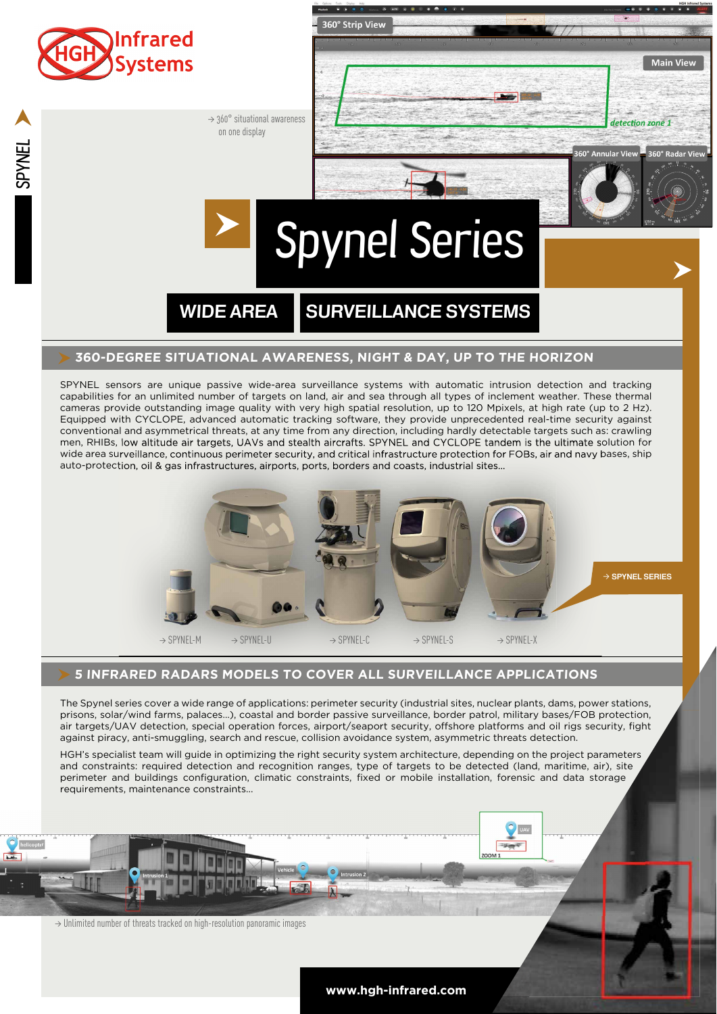

capabilities for an unlimited number of targets on land, air and sea through all types of inclement weather. These thermal cameras provide outstanding image quality with very high spatial resolution, up to 120 Mpixels, at high rate (up to 2 Hz). Equipped with CYCLOPE, advanced automatic tracking software, they provide unprecedented real-time security against conventional and asymmetrical threats, at any time from any direction, including hardly detectable targets such as: crawling men, RHIBs, low altitude air targets, UAVs and stealth aircrafts. SPYNEL and CYCLOPE tandem is the ultimate solution for wide area surveillance, continuous perimeter security, and critical infrastructure protection for FOBs, air and navy bases, ship auto-protection, oil & gas infrastructures, airports, ports, borders and coasts, industrial sites...



## **5 INFRARED RADARS MODELS TO COVER ALL SURVEILLANCE APPLICATIONS**

The Spynel series cover a wide range of applications: perimeter security (industrial sites, nuclear plants, dams, power stations, prisons, solar/wind farms, palaces…), coastal and border passive surveillance, border patrol, military bases/FOB protection, air targets/UAV detection, special operation forces, airport/seaport security, offshore platforms and oil rigs security, fight against piracy, anti-smuggling, search and rescue, collision avoidance system, asymmetric threats detection.

HGH's specialist team will guide in optimizing the right security system architecture, depending on the project parameters and constraints: required detection and recognition ranges, type of targets to be detected (land, maritime, air), site perimeter and buildings configuration, climatic constraints, fixed or mobile installation, forensic and data storage requirements, maintenance constraints...

 $\rightarrow$  Unlimited number of threats tracked on high-resolution panoramic images

**www.hgh-infrared.com**